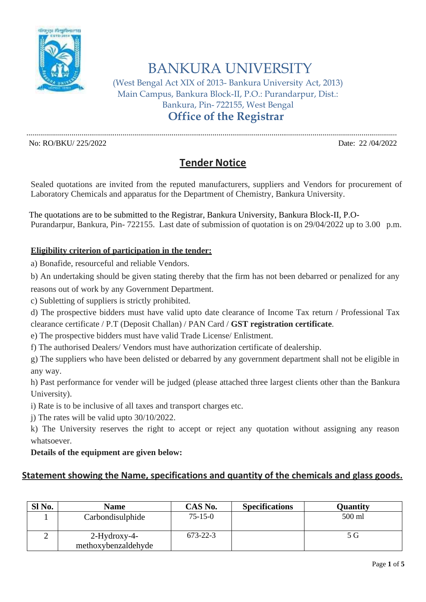

BANKURA UNIVERSITY

(West Bengal Act XIX of 2013- Bankura University Act, 2013) Main Campus, Bankura Block-II, P.O.: Purandarpur, Dist.: Bankura, Pin- 722155, West Bengal

**Office of the Registrar**

No: RO/BKU/ 225/2022 Date: 22 /04/2022

## **Tender Notice**

.............................................................................................................................................................................................

Sealed quotations are invited from the reputed manufacturers, suppliers and Vendors for procurement of Laboratory Chemicals and apparatus for the Department of Chemistry, Bankura University.

 The quotations are to be submitted to the Registrar, Bankura University, Bankura Block-II, P.O- Purandarpur, Bankura, Pin- 722155. Last date of submission of quotation is on 29/04/2022 up to 3.00 p.m.

## **Eligibility criterion of participation in the tender:**

a) Bonafide, resourceful and reliable Vendors.

b) An undertaking should be given stating thereby that the firm has not been debarred or penalized for any

reasons out of work by any Government Department.

c) Subletting of suppliers is strictly prohibited.

d) The prospective bidders must have valid upto date clearance of Income Tax return / Professional Tax clearance certificate / P.T (Deposit Challan) / PAN Card / **GST registration certificate**.

e) The prospective bidders must have valid Trade License/ Enlistment.

f) The authorised Dealers/ Vendors must have authorization certificate of dealership.

g) The suppliers who have been delisted or debarred by any government department shall not be eligible in any way.

h) Past performance for vender will be judged (please attached three largest clients other than the Bankura University).

i) Rate is to be inclusive of all taxes and transport charges etc.

j) The rates will be valid upto 30/10/2022.

k) The University reserves the right to accept or reject any quotation without assigning any reason whatsoever.

## **Details of the equipment are given below:**

## **Statement showing the Name, specifications and quantity of the chemicals and glass goods.**

| Sl No. | <b>Name</b>                         | CAS No.       | <b>Specifications</b> | <b>Quantity</b> |
|--------|-------------------------------------|---------------|-----------------------|-----------------|
|        | Carbondisulphide                    | $75 - 15 - 0$ |                       | 500 ml          |
|        | 2-Hydroxy-4-<br>methoxybenzaldehyde | 673-22-3      |                       | 5 G             |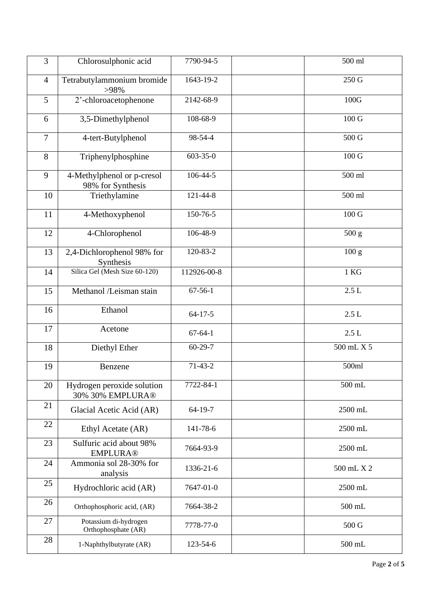| 3              | Chlorosulphonic acid                            | 7790-94-5      | 500 ml            |
|----------------|-------------------------------------------------|----------------|-------------------|
| $\overline{4}$ | Tetrabutylammonium bromide<br>>98%              | 1643-19-2      | 250 G             |
| 5              | 2'-chloroacetophenone                           | 2142-68-9      | 100G              |
| 6              | 3,5-Dimethylphenol                              | 108-68-9       | 100G              |
| $\overline{7}$ | 4-tert-Butylphenol                              | 98-54-4        | 500 G             |
| 8              | Triphenylphosphine                              | $603 - 35 - 0$ | 100 <sub>G</sub>  |
| 9              | 4-Methylphenol or p-cresol<br>98% for Synthesis | 106-44-5       | 500 ml            |
| 10             | Triethylamine                                   | 121-44-8       | 500 ml            |
| 11             | 4-Methoxyphenol                                 | 150-76-5       | $100\,\mathrm{G}$ |
| 12             | 4-Chlorophenol                                  | 106-48-9       | 500 g             |
| 13             | 2,4-Dichlorophenol 98% for<br>Synthesis         | 120-83-2       | 100 g             |
| 14             | Silica Gel (Mesh Size 60-120)                   | 112926-00-8    | $1$ KG            |
| 15             | Methanol /Leisman stain                         | $67 - 56 - 1$  | 2.5L              |
| 16             | Ethanol                                         | $64 - 17 - 5$  | $2.5 L$           |
| 17             | Acetone                                         | $67 - 64 - 1$  | 2.5L              |
| 18             | Diethyl Ether                                   | $60 - 29 - 7$  | 500 mL X 5        |
| 19             | Benzene                                         | $71-43-2$      | 500ml             |
| 20             | Hydrogen peroxide solution<br>30% 30% EMPLURA®  | 7722-84-1      | 500 mL            |
| 21             | Glacial Acetic Acid (AR)                        | 64-19-7        | 2500 mL           |
| 22             | Ethyl Acetate (AR)                              | 141-78-6       | 2500 mL           |
| 23             | Sulfuric acid about 98%<br><b>EMPLURA®</b>      | 7664-93-9      | 2500 mL           |
| 24             | Ammonia sol 28-30% for<br>analysis              | 1336-21-6      | 500 mL X 2        |
| 25             | Hydrochloric acid (AR)                          | 7647-01-0      | 2500 mL           |
| 26             | Orthophosphoric acid, (AR)                      | 7664-38-2      | $500$ mL          |
| 27             | Potassium di-hydrogen<br>Orthophosphate (AR)    | 7778-77-0      | 500 G             |
| 28             | 1-Naphthylbutyrate (AR)                         | 123-54-6       | $500$ mL          |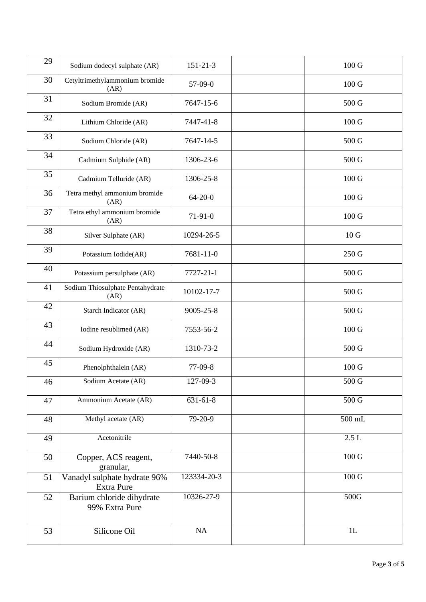| 29 | Sodium dodecyl sulphate (AR)                      | $151 - 21 - 3$ | 100 G           |
|----|---------------------------------------------------|----------------|-----------------|
| 30 | Cetyltrimethylammonium bromide<br>(AR)            | $57-09-0$      | 100 G           |
| 31 | Sodium Bromide (AR)                               | 7647-15-6      | 500 G           |
| 32 | Lithium Chloride (AR)                             | 7447-41-8      | 100 G           |
| 33 | Sodium Chloride (AR)                              | 7647-14-5      | 500 G           |
| 34 | Cadmium Sulphide (AR)                             | 1306-23-6      | 500 G           |
| 35 | Cadmium Telluride (AR)                            | 1306-25-8      | 100 G           |
| 36 | Tetra methyl ammonium bromide<br>(AR)             | $64 - 20 - 0$  | 100 G           |
| 37 | Tetra ethyl ammonium bromide<br>(AR)              | $71-91-0$      | 100 G           |
| 38 | Silver Sulphate (AR)                              | 10294-26-5     | 10 <sub>G</sub> |
| 39 | Potassium Iodide(AR)                              | 7681-11-0      | 250 G           |
| 40 | Potassium persulphate (AR)                        | 7727-21-1      | 500 G           |
| 41 | Sodium Thiosulphate Pentahydrate<br>(AR)          | 10102-17-7     | 500 G           |
| 42 | Starch Indicator (AR)                             | 9005-25-8      | 500 G           |
| 43 | Iodine resublimed (AR)                            | 7553-56-2      | 100 G           |
| 44 | Sodium Hydroxide (AR)                             | 1310-73-2      | 500 G           |
| 45 | Phenolphthalein (AR)                              | 77-09-8        | 100 G           |
| 46 | Sodium Acetate (AR)                               | 127-09-3       | 500 G           |
| 47 | Ammonium Acetate (AR)                             | 631-61-8       | 500 G           |
| 48 | Methyl acetate (AR)                               | 79-20-9        | $500$ mL        |
| 49 | Acetonitrile                                      |                | $2.5 L$         |
| 50 | Copper, ACS reagent,<br>granular,                 | 7440-50-8      | $100\:{\rm G}$  |
| 51 | Vanadyl sulphate hydrate 96%<br><b>Extra Pure</b> | 123334-20-3    | $100\:{\rm G}$  |
| 52 | Barium chloride dihydrate<br>99% Extra Pure       | 10326-27-9     | 500G            |
| 53 | Silicone Oil                                      | NA             | 1L              |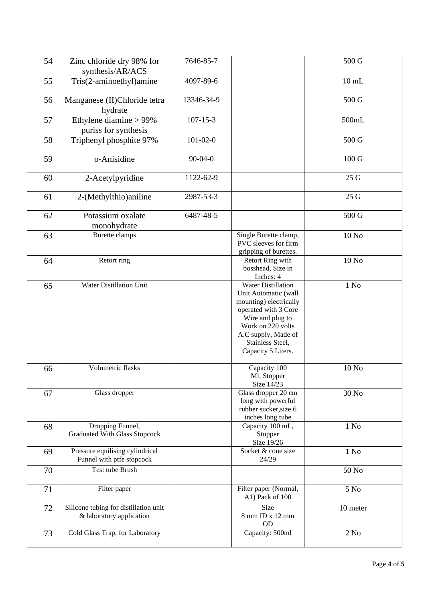| 54 | Zinc chloride dry 98% for                                         | 7646-85-7      |                                                                                                                                                                                                               | 500 G            |
|----|-------------------------------------------------------------------|----------------|---------------------------------------------------------------------------------------------------------------------------------------------------------------------------------------------------------------|------------------|
|    | synthesis/AR/ACS                                                  |                |                                                                                                                                                                                                               |                  |
| 55 | Tris(2-aminoethyl)amine                                           | 4097-89-6      |                                                                                                                                                                                                               | $10$ mL          |
| 56 | Manganese (II)Chloride tetra<br>hydrate                           | 13346-34-9     |                                                                                                                                                                                                               | 500 G            |
| 57 | Ethylene diamine $> 99\%$<br>puriss for synthesis                 | $107 - 15 - 3$ |                                                                                                                                                                                                               | 500mL            |
| 58 | Triphenyl phosphite 97%                                           | $101 - 02 - 0$ |                                                                                                                                                                                                               | 500 G            |
| 59 | o-Anisidine                                                       | $90 - 04 - 0$  |                                                                                                                                                                                                               | 100 G            |
| 60 | 2-Acetylpyridine                                                  | 1122-62-9      |                                                                                                                                                                                                               | 25 G             |
| 61 | 2-(Methylthio) aniline                                            | 2987-53-3      |                                                                                                                                                                                                               | 25 G             |
| 62 | Potassium oxalate<br>monohydrate                                  | 6487-48-5      |                                                                                                                                                                                                               | 500 G            |
| 63 | Burette clamps                                                    |                | Single Burette clamp,<br>PVC sleeves for firm<br>gripping of burettes.                                                                                                                                        | 10 No            |
| 64 | Retort ring                                                       |                | Retort Ring with<br>bosshead, Size in<br>Inches: 4                                                                                                                                                            | 10 No            |
| 65 | Water Distillation Unit                                           |                | <b>Water Distillation</b><br>Unit Automatic (wall<br>mounting) electrically<br>operated with 3 Core<br>Wire and plug to<br>Work on 220 volts<br>A.C supply, Made of<br>Stainless Steel,<br>Capacity 5 Liters. | $1$ No           |
| 66 | Volumetric flasks                                                 |                | Capacity 100<br>Ml, Stopper<br>Size 14/23                                                                                                                                                                     | 10 No            |
| 67 | Glass dropper                                                     |                | Glass dropper 20 cm<br>long with powerful<br>rubber sucker, size 6<br>inches long tube                                                                                                                        | 30 No            |
| 68 | Dropping Funnel,<br><b>Graduated With Glass Stopcock</b>          |                | Capacity 100 mL,<br>Stopper<br>Size 19/26                                                                                                                                                                     | 1 N <sub>0</sub> |
| 69 | Pressure equilising cylindrical<br>Funnel with ptfe stopcock      |                | Socket & cone size<br>24/29                                                                                                                                                                                   | 1 N <sub>0</sub> |
| 70 | Test tube Brush                                                   |                |                                                                                                                                                                                                               | 50 No            |
| 71 | Filter paper                                                      |                | Filter paper (Normal,<br>A1) Pack of 100                                                                                                                                                                      | 5 N <sub>0</sub> |
| 72 | Silicone tubing for distillation unit<br>& laboratory application |                | Size<br>8 mm ID x 12 mm<br><b>OD</b>                                                                                                                                                                          | 10 meter         |
| 73 | Cold Glass Trap, for Laboratory                                   |                | Capacity: 500ml                                                                                                                                                                                               | $2$ No           |